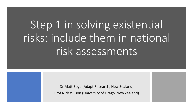# Step 1 in solving existential risks: include them in national risk assessments

Dr Matt Boyd (Adapt Research, New Zealand) Prof Nick Wilson (University of Otago, New Zealand)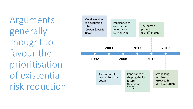Arguments generally thought to favour the prioritisation of existential risk reduction

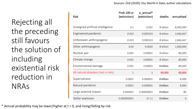#### Sources: Ord (2020); Our World in Data; author calculations

Rejecting all the preceding still favours the solution of including existential risk reduction in NRAs

| <b>Risk</b>                         | Prob 100 yr<br>(extinction) | p_annual*<br>(extinction) | deaths    | annualised     |
|-------------------------------------|-----------------------------|---------------------------|-----------|----------------|
| Unaligned artificial intelligence   | 0.1                         | 0.001                     | 8 billion | 8,000,000      |
| Engineered pandemic                 | 0.033                       | 0.000333                  | 8 billion | 2,666,667      |
| Unforeseen anthropogenic            | 0.033                       | 0.000333                  | 8 billion | 2,666,667      |
| Other anthropogenic                 | 0.02                        | 0.0002                    | 8 billion | 1,600,000      |
| Nuclear war                         | 0.001                       | 0.00001                   | 8 billion | 80,000         |
| Climate change                      | 0.001                       | 0.00001                   | 8 billion | 80,000         |
| Environmental damage                | 0.001                       | 0.00001                   | 8 billion | 80,000         |
| All natural disasters (not x-risks) | $\mathbf{1}$                | $\mathbf{1}$              | 60,000    | 60,000         |
| Supervolcano                        | 0.0001                      | 0.000001                  | 8 billion | 8,000          |
| Natural pandemic                    | 0.0001                      | 0.000001                  | 8 billion | 8,000          |
| Large asteroid impact               | 0.000001                    | 0.00000001                | 8 billion | 80             |
| Stellar explosion                   | 0.000000001                 | $1E-11$                   | 8 billion | $\overline{0}$ |

\* Annual probability may be lower/higher at  $t = 0$ , and rising/falling by risk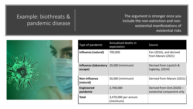### Example: biothreats & pandemic disease

The argument is stronger once you include the non-extinction and nonexistential manifestations of existential risks



| Type of pandemic                                           | <b>Annualised deaths in</b><br>expectation | Source                                                  |
|------------------------------------------------------------|--------------------------------------------|---------------------------------------------------------|
| Influenza (natural)                                        | 700,000                                    | Fan (2016), and derived<br>from Marani (2021)           |
| <b>Influenza (laboratory</b>   20,000 (minimum)<br>escape) |                                            | Derived from Lipsitch &<br>Inglesby, (2014)             |
| Non-influenza<br>(natural)                                 | 50,000 (minimum)                           | Derived from Marani (2021)                              |
| <b>Engineered</b><br>pandemic                              | 2,700,000                                  | Derived from Ord (2020) -<br>existential component only |
| <b>Total</b>                                               | 3,470,000 per annum<br>(minimum)           |                                                         |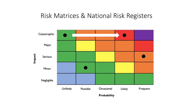## Risk Matrices & National Risk Registers

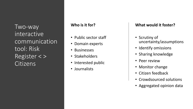Two -way interactive communication tool: Risk Register < > Citizens

#### **Who is it for?**

- Public sector staff
- Domain experts
- Businesses
- Stakeholders
- Interested public
- Journalists

#### **What would it foster?**

- Scrutiny of uncertainty/assumptions
- Identify omissions
- Sharing knowledge
- Peer review
- Monitor change
- Citizen feedback
- Crowdsourced solutions
- Aggregated opinion data